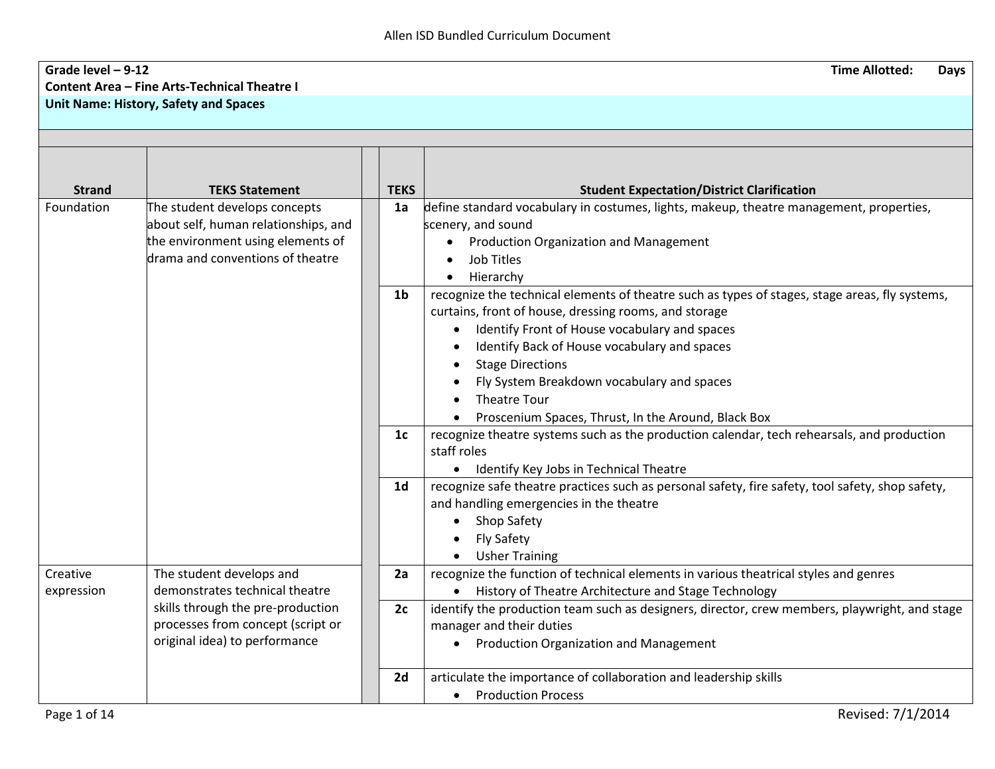## **Grade level – 9-12 Time Allotted: Days Content Area – Fine Arts-Technical Theatre I Unit Name: History, Safety and Spaces**

|                                |                                                                                                                                                                                                                                                                               | <b>Student Expectation/District Clarification</b>                                                |
|--------------------------------|-------------------------------------------------------------------------------------------------------------------------------------------------------------------------------------------------------------------------------------------------------------------------------|--------------------------------------------------------------------------------------------------|
|                                |                                                                                                                                                                                                                                                                               | define standard vocabulary in costumes, lights, makeup, theatre management, properties,          |
|                                |                                                                                                                                                                                                                                                                               | scenery, and sound                                                                               |
|                                |                                                                                                                                                                                                                                                                               | Production Organization and Management                                                           |
|                                |                                                                                                                                                                                                                                                                               | Job Titles                                                                                       |
|                                |                                                                                                                                                                                                                                                                               | Hierarchy                                                                                        |
|                                | 1 <sub>b</sub>                                                                                                                                                                                                                                                                | recognize the technical elements of theatre such as types of stages, stage areas, fly systems,   |
|                                |                                                                                                                                                                                                                                                                               | curtains, front of house, dressing rooms, and storage                                            |
|                                |                                                                                                                                                                                                                                                                               | Identify Front of House vocabulary and spaces                                                    |
|                                |                                                                                                                                                                                                                                                                               | Identify Back of House vocabulary and spaces                                                     |
|                                |                                                                                                                                                                                                                                                                               | <b>Stage Directions</b>                                                                          |
|                                |                                                                                                                                                                                                                                                                               | Fly System Breakdown vocabulary and spaces                                                       |
|                                |                                                                                                                                                                                                                                                                               | <b>Theatre Tour</b>                                                                              |
|                                |                                                                                                                                                                                                                                                                               | Proscenium Spaces, Thrust, In the Around, Black Box                                              |
|                                |                                                                                                                                                                                                                                                                               | recognize theatre systems such as the production calendar, tech rehearsals, and production       |
|                                |                                                                                                                                                                                                                                                                               | staff roles                                                                                      |
|                                |                                                                                                                                                                                                                                                                               | Identify Key Jobs in Technical Theatre<br>$\bullet$                                              |
|                                | 1 <sub>d</sub>                                                                                                                                                                                                                                                                | recognize safe theatre practices such as personal safety, fire safety, tool safety, shop safety, |
|                                |                                                                                                                                                                                                                                                                               | and handling emergencies in the theatre                                                          |
|                                |                                                                                                                                                                                                                                                                               | Shop Safety                                                                                      |
|                                |                                                                                                                                                                                                                                                                               | <b>Fly Safety</b>                                                                                |
|                                |                                                                                                                                                                                                                                                                               | <b>Usher Training</b>                                                                            |
|                                |                                                                                                                                                                                                                                                                               | recognize the function of technical elements in various theatrical styles and genres             |
| demonstrates technical theatre |                                                                                                                                                                                                                                                                               | History of Theatre Architecture and Stage Technology<br>$\bullet$                                |
|                                |                                                                                                                                                                                                                                                                               | identify the production team such as designers, director, crew members, playwright, and stage    |
|                                |                                                                                                                                                                                                                                                                               | manager and their duties                                                                         |
| original idea) to performance  |                                                                                                                                                                                                                                                                               | <b>Production Organization and Management</b><br>$\bullet$                                       |
|                                |                                                                                                                                                                                                                                                                               |                                                                                                  |
|                                | 2d                                                                                                                                                                                                                                                                            | articulate the importance of collaboration and leadership skills                                 |
|                                |                                                                                                                                                                                                                                                                               | <b>Production Process</b><br>$\bullet$                                                           |
|                                | <b>TEKS Statement</b><br>The student develops concepts<br>about self, human relationships, and<br>the environment using elements of<br>drama and conventions of theatre<br>The student develops and<br>skills through the pre-production<br>processes from concept (script or | <b>TEKS</b><br>1a<br>1c<br>2a<br>2c                                                              |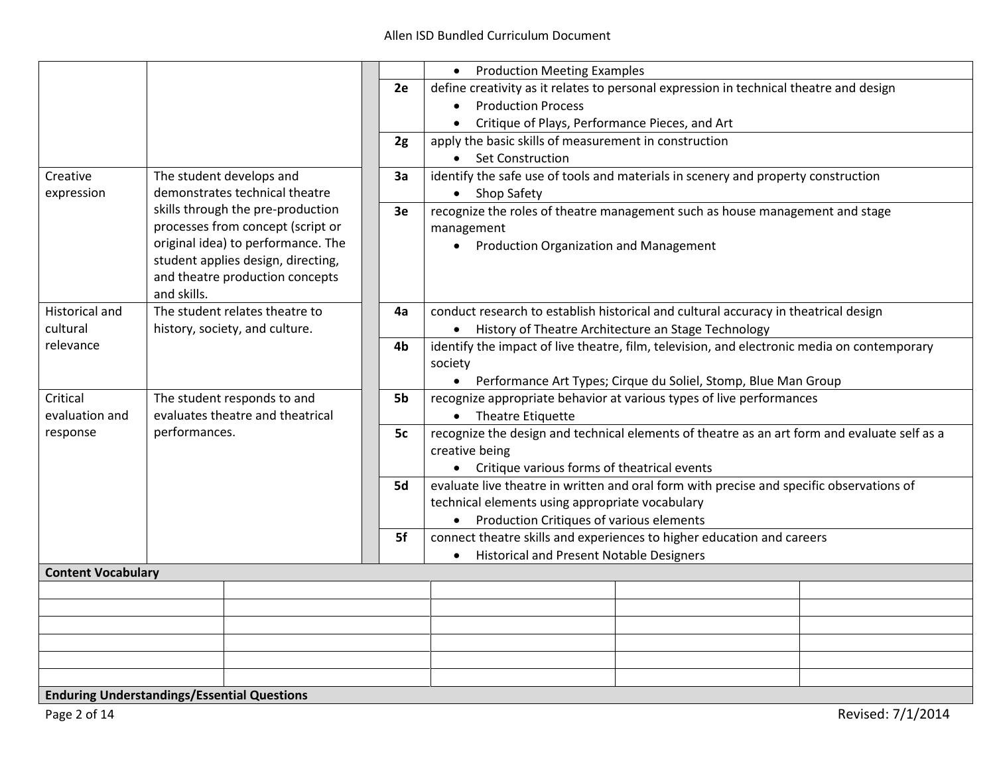|                            |                                                                                  |    | <b>Production Meeting Examples</b><br>$\bullet$                                                                                           |
|----------------------------|----------------------------------------------------------------------------------|----|-------------------------------------------------------------------------------------------------------------------------------------------|
|                            |                                                                                  | 2e | define creativity as it relates to personal expression in technical theatre and design                                                    |
|                            |                                                                                  |    | <b>Production Process</b><br>$\bullet$                                                                                                    |
|                            |                                                                                  |    | Critique of Plays, Performance Pieces, and Art<br>$\bullet$                                                                               |
|                            |                                                                                  | 2g | apply the basic skills of measurement in construction                                                                                     |
|                            |                                                                                  |    | • Set Construction                                                                                                                        |
| Creative                   | The student develops and                                                         | За | identify the safe use of tools and materials in scenery and property construction                                                         |
| expression                 | demonstrates technical theatre                                                   |    | • Shop Safety                                                                                                                             |
|                            | skills through the pre-production                                                | 3e | recognize the roles of theatre management such as house management and stage                                                              |
|                            | processes from concept (script or                                                |    | management                                                                                                                                |
|                            | original idea) to performance. The                                               |    | • Production Organization and Management                                                                                                  |
|                            | student applies design, directing,                                               |    |                                                                                                                                           |
|                            | and theatre production concepts                                                  |    |                                                                                                                                           |
|                            | and skills.                                                                      |    |                                                                                                                                           |
| Historical and             | The student relates theatre to                                                   | 4a | conduct research to establish historical and cultural accuracy in theatrical design                                                       |
| cultural                   | history, society, and culture.                                                   |    | • History of Theatre Architecture an Stage Technology                                                                                     |
| relevance                  |                                                                                  | 4b | identify the impact of live theatre, film, television, and electronic media on contemporary                                               |
|                            |                                                                                  |    | society                                                                                                                                   |
|                            |                                                                                  | 5b | • Performance Art Types; Cirque du Soliel, Stomp, Blue Man Group                                                                          |
| Critical                   | The student responds to and<br>evaluates theatre and theatrical<br>performances. |    | recognize appropriate behavior at various types of live performances                                                                      |
| evaluation and<br>response |                                                                                  |    | • Theatre Etiquette                                                                                                                       |
|                            |                                                                                  | 5c | recognize the design and technical elements of theatre as an art form and evaluate self as a<br>creative being                            |
|                            |                                                                                  |    |                                                                                                                                           |
|                            |                                                                                  | 5d | • Critique various forms of theatrical events<br>evaluate live theatre in written and oral form with precise and specific observations of |
|                            |                                                                                  |    | technical elements using appropriate vocabulary                                                                                           |
|                            |                                                                                  |    | • Production Critiques of various elements                                                                                                |
|                            |                                                                                  | 5f | connect theatre skills and experiences to higher education and careers                                                                    |
|                            |                                                                                  |    | <b>Historical and Present Notable Designers</b>                                                                                           |
| <b>Content Vocabulary</b>  |                                                                                  |    |                                                                                                                                           |
|                            |                                                                                  |    |                                                                                                                                           |
|                            |                                                                                  |    |                                                                                                                                           |
|                            |                                                                                  |    |                                                                                                                                           |
|                            |                                                                                  |    |                                                                                                                                           |
|                            |                                                                                  |    |                                                                                                                                           |
|                            |                                                                                  |    |                                                                                                                                           |
|                            | <b>Enduring Understandings/Essential Questions</b>                               |    |                                                                                                                                           |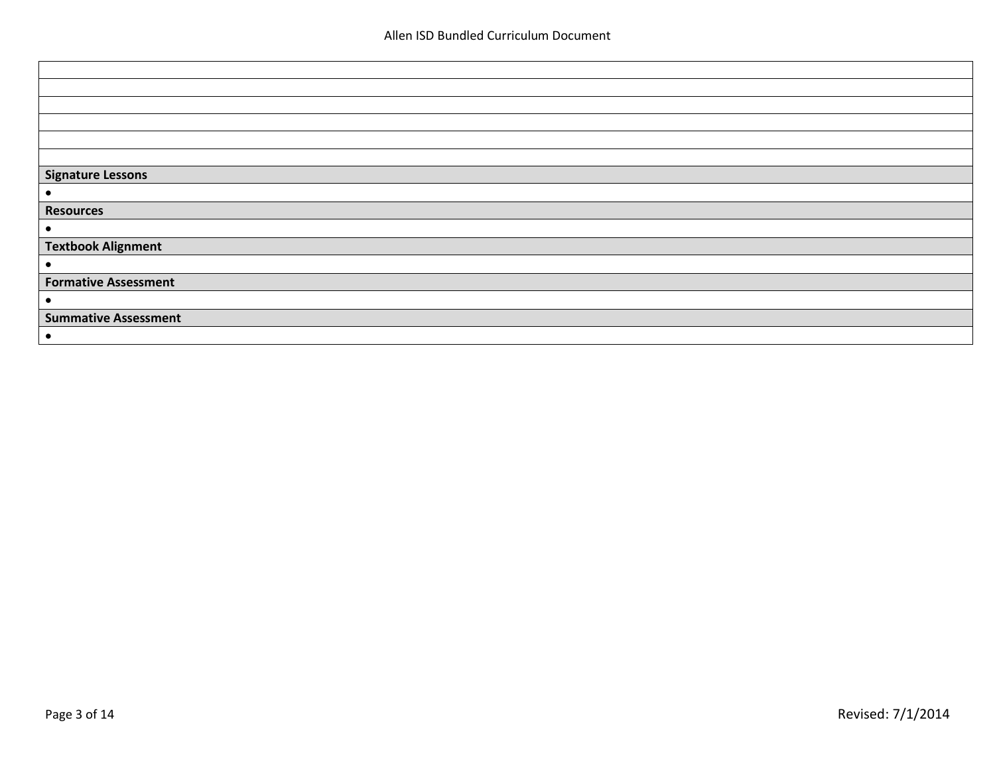| Signature Lessons           |
|-----------------------------|
|                             |
| Resources                   |
|                             |
| <b>Textbook Alignment</b>   |
| $\bullet$                   |
| <b>Formative Assessment</b> |
| $\bullet$                   |
| <b>Summative Assessment</b> |
|                             |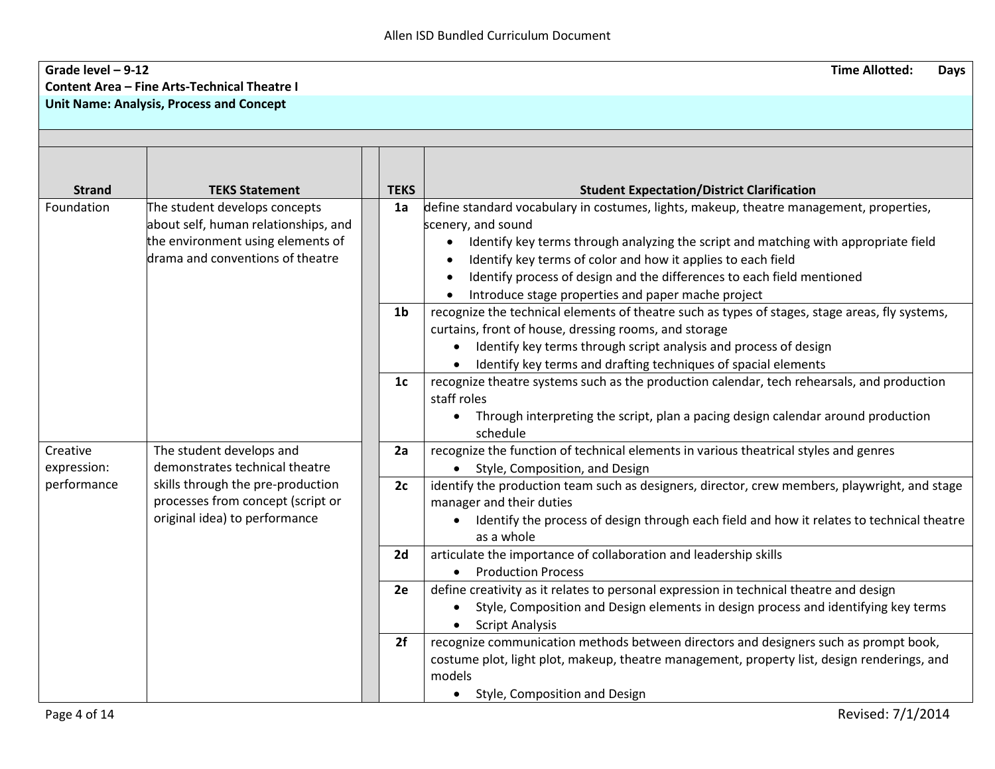## **Grade level – 9-12 Time Allotted: Days Content Area – Fine Arts-Technical Theatre I Unit Name: Analysis, Process and Concept**

| <b>Strand</b> | <b>TEKS Statement</b>                | <b>TEKS</b>    | <b>Student Expectation/District Clarification</b>                                                                                                       |
|---------------|--------------------------------------|----------------|---------------------------------------------------------------------------------------------------------------------------------------------------------|
| Foundation    | The student develops concepts        | 1a             | define standard vocabulary in costumes, lights, makeup, theatre management, properties,                                                                 |
|               | about self, human relationships, and |                | scenery, and sound                                                                                                                                      |
|               | the environment using elements of    |                | Identify key terms through analyzing the script and matching with appropriate field                                                                     |
|               | drama and conventions of theatre     |                | Identify key terms of color and how it applies to each field                                                                                            |
|               |                                      |                | Identify process of design and the differences to each field mentioned                                                                                  |
|               |                                      |                | Introduce stage properties and paper mache project                                                                                                      |
|               |                                      | 1 <sub>b</sub> |                                                                                                                                                         |
|               |                                      |                | recognize the technical elements of theatre such as types of stages, stage areas, fly systems,<br>curtains, front of house, dressing rooms, and storage |
|               |                                      |                | Identify key terms through script analysis and process of design                                                                                        |
|               |                                      |                | Identify key terms and drafting techniques of spacial elements                                                                                          |
|               |                                      | 1 <sub>c</sub> | recognize theatre systems such as the production calendar, tech rehearsals, and production                                                              |
|               |                                      |                | staff roles                                                                                                                                             |
|               |                                      |                | Through interpreting the script, plan a pacing design calendar around production<br>$\bullet$                                                           |
|               |                                      |                | schedule                                                                                                                                                |
| Creative      | The student develops and             | 2a             | recognize the function of technical elements in various theatrical styles and genres                                                                    |
| expression:   | demonstrates technical theatre       |                | Style, Composition, and Design                                                                                                                          |
| performance   | skills through the pre-production    | 2c             | identify the production team such as designers, director, crew members, playwright, and stage                                                           |
|               | processes from concept (script or    |                | manager and their duties                                                                                                                                |
|               | original idea) to performance        |                | Identify the process of design through each field and how it relates to technical theatre<br>as a whole                                                 |
|               |                                      | 2d             | articulate the importance of collaboration and leadership skills                                                                                        |
|               |                                      |                | <b>Production Process</b><br>$\bullet$                                                                                                                  |
|               |                                      | 2e             | define creativity as it relates to personal expression in technical theatre and design                                                                  |
|               |                                      |                | Style, Composition and Design elements in design process and identifying key terms                                                                      |
|               |                                      |                | <b>Script Analysis</b>                                                                                                                                  |
|               |                                      | 2f             | recognize communication methods between directors and designers such as prompt book,                                                                    |
|               |                                      |                | costume plot, light plot, makeup, theatre management, property list, design renderings, and                                                             |
|               |                                      |                | models                                                                                                                                                  |
|               |                                      |                | • Style, Composition and Design                                                                                                                         |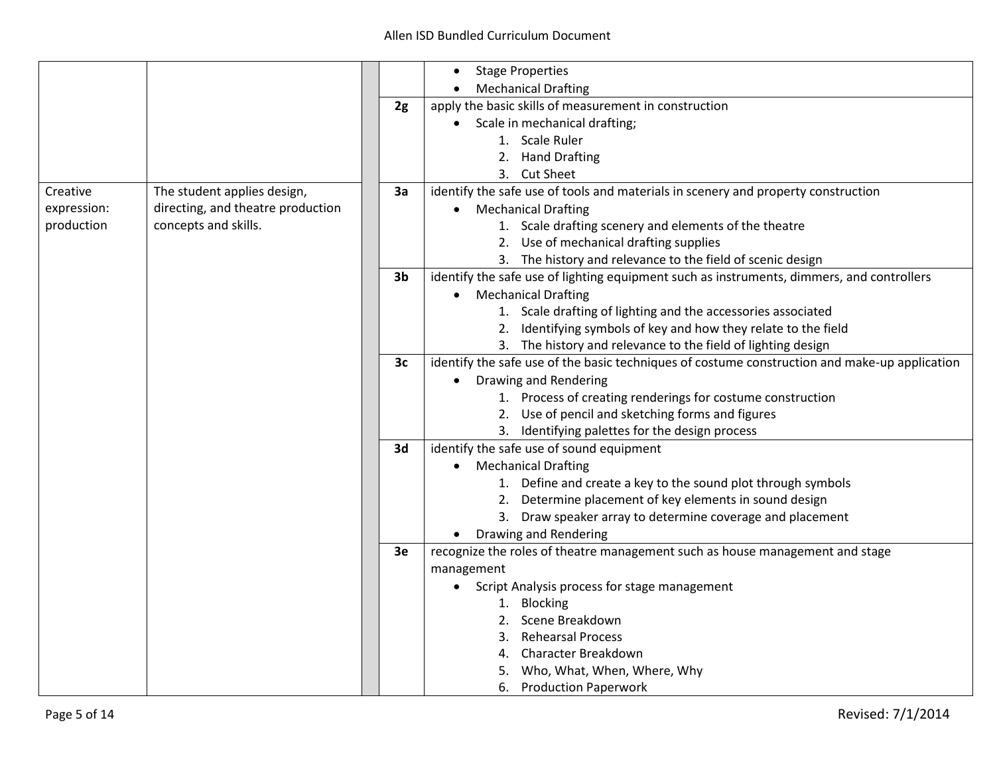|             |                                   |                | <b>Stage Properties</b>                                                                       |
|-------------|-----------------------------------|----------------|-----------------------------------------------------------------------------------------------|
|             |                                   |                | <b>Mechanical Drafting</b>                                                                    |
|             |                                   | 2g             | apply the basic skills of measurement in construction                                         |
|             |                                   |                | Scale in mechanical drafting;                                                                 |
|             |                                   |                | 1. Scale Ruler                                                                                |
|             |                                   |                | 2. Hand Drafting                                                                              |
|             |                                   |                | 3. Cut Sheet                                                                                  |
| Creative    | The student applies design,       | 3a             | identify the safe use of tools and materials in scenery and property construction             |
| expression: | directing, and theatre production |                | • Mechanical Drafting                                                                         |
| production  | concepts and skills.              |                | 1. Scale drafting scenery and elements of the theatre                                         |
|             |                                   |                | 2. Use of mechanical drafting supplies                                                        |
|             |                                   |                | 3. The history and relevance to the field of scenic design                                    |
|             |                                   | 3 <sub>b</sub> | identify the safe use of lighting equipment such as instruments, dimmers, and controllers     |
|             |                                   |                | <b>Mechanical Drafting</b><br>$\bullet$                                                       |
|             |                                   |                | 1. Scale drafting of lighting and the accessories associated                                  |
|             |                                   |                | 2. Identifying symbols of key and how they relate to the field                                |
|             |                                   |                | 3. The history and relevance to the field of lighting design                                  |
|             |                                   | 3c             | identify the safe use of the basic techniques of costume construction and make-up application |
|             |                                   |                | Drawing and Rendering                                                                         |
|             |                                   |                | 1. Process of creating renderings for costume construction                                    |
|             |                                   |                | 2. Use of pencil and sketching forms and figures                                              |
|             |                                   |                | 3. Identifying palettes for the design process                                                |
|             |                                   | 3d             | identify the safe use of sound equipment                                                      |
|             |                                   |                | <b>Mechanical Drafting</b>                                                                    |
|             |                                   |                | 1. Define and create a key to the sound plot through symbols                                  |
|             |                                   |                | 2. Determine placement of key elements in sound design                                        |
|             |                                   |                | 3. Draw speaker array to determine coverage and placement                                     |
|             |                                   |                | Drawing and Rendering                                                                         |
|             |                                   | 3e             | recognize the roles of theatre management such as house management and stage                  |
|             |                                   |                | management                                                                                    |
|             |                                   |                | Script Analysis process for stage management                                                  |
|             |                                   |                | 1. Blocking                                                                                   |
|             |                                   |                | 2. Scene Breakdown                                                                            |
|             |                                   |                | <b>Rehearsal Process</b><br>3.                                                                |
|             |                                   |                | <b>Character Breakdown</b><br>4.                                                              |
|             |                                   |                | 5. Who, What, When, Where, Why                                                                |
|             |                                   |                | 6. Production Paperwork                                                                       |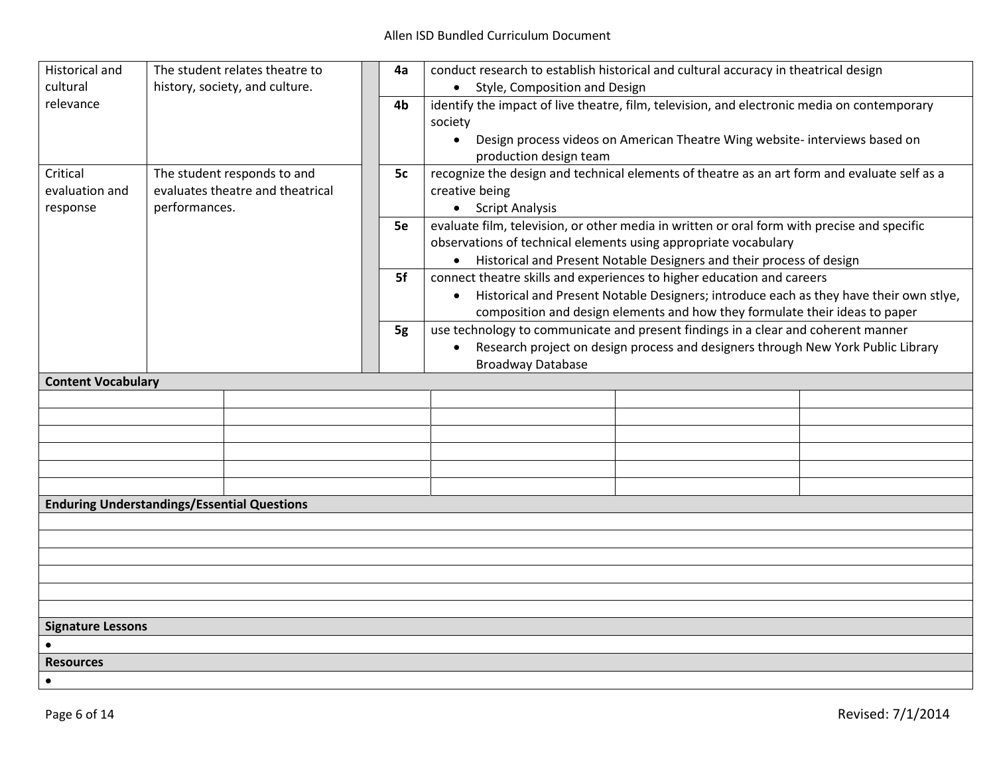| <b>Historical and</b>                              |               | The student relates theatre to   | 4a | conduct research to establish historical and cultural accuracy in theatrical design          |                                                                                        |  |
|----------------------------------------------------|---------------|----------------------------------|----|----------------------------------------------------------------------------------------------|----------------------------------------------------------------------------------------|--|
| cultural                                           |               | history, society, and culture.   |    | • Style, Composition and Design                                                              |                                                                                        |  |
| relevance                                          |               |                                  | 4b | identify the impact of live theatre, film, television, and electronic media on contemporary  |                                                                                        |  |
|                                                    |               |                                  |    | society                                                                                      |                                                                                        |  |
|                                                    |               |                                  |    | $\bullet$                                                                                    | Design process videos on American Theatre Wing website- interviews based on            |  |
|                                                    |               |                                  |    | production design team                                                                       |                                                                                        |  |
| Critical                                           |               | The student responds to and      | 5c | recognize the design and technical elements of theatre as an art form and evaluate self as a |                                                                                        |  |
| evaluation and                                     |               | evaluates theatre and theatrical |    | creative being                                                                               |                                                                                        |  |
| response                                           | performances. |                                  |    | • Script Analysis                                                                            |                                                                                        |  |
|                                                    |               |                                  | 5e | evaluate film, television, or other media in written or oral form with precise and specific  |                                                                                        |  |
|                                                    |               |                                  |    | observations of technical elements using appropriate vocabulary                              |                                                                                        |  |
|                                                    |               |                                  |    |                                                                                              | Historical and Present Notable Designers and their process of design                   |  |
|                                                    |               |                                  | 5f | connect theatre skills and experiences to higher education and careers                       |                                                                                        |  |
|                                                    |               |                                  |    | $\bullet$                                                                                    | Historical and Present Notable Designers; introduce each as they have their own stlye, |  |
|                                                    |               |                                  |    |                                                                                              | composition and design elements and how they formulate their ideas to paper            |  |
|                                                    |               |                                  | 5g | use technology to communicate and present findings in a clear and coherent manner            |                                                                                        |  |
|                                                    |               |                                  |    | $\bullet$                                                                                    | Research project on design process and designers through New York Public Library       |  |
|                                                    |               |                                  |    | <b>Broadway Database</b>                                                                     |                                                                                        |  |
| <b>Content Vocabulary</b>                          |               |                                  |    |                                                                                              |                                                                                        |  |
|                                                    |               |                                  |    |                                                                                              |                                                                                        |  |
|                                                    |               |                                  |    |                                                                                              |                                                                                        |  |
|                                                    |               |                                  |    |                                                                                              |                                                                                        |  |
|                                                    |               |                                  |    |                                                                                              |                                                                                        |  |
|                                                    |               |                                  |    |                                                                                              |                                                                                        |  |
|                                                    |               |                                  |    |                                                                                              |                                                                                        |  |
| <b>Enduring Understandings/Essential Questions</b> |               |                                  |    |                                                                                              |                                                                                        |  |
|                                                    |               |                                  |    |                                                                                              |                                                                                        |  |
|                                                    |               |                                  |    |                                                                                              |                                                                                        |  |
|                                                    |               |                                  |    |                                                                                              |                                                                                        |  |
|                                                    |               |                                  |    |                                                                                              |                                                                                        |  |
|                                                    |               |                                  |    |                                                                                              |                                                                                        |  |
|                                                    |               |                                  |    |                                                                                              |                                                                                        |  |
| <b>Signature Lessons</b>                           |               |                                  |    |                                                                                              |                                                                                        |  |
|                                                    |               |                                  |    |                                                                                              |                                                                                        |  |
| <b>Resources</b>                                   |               |                                  |    |                                                                                              |                                                                                        |  |
| $\bullet$                                          |               |                                  |    |                                                                                              |                                                                                        |  |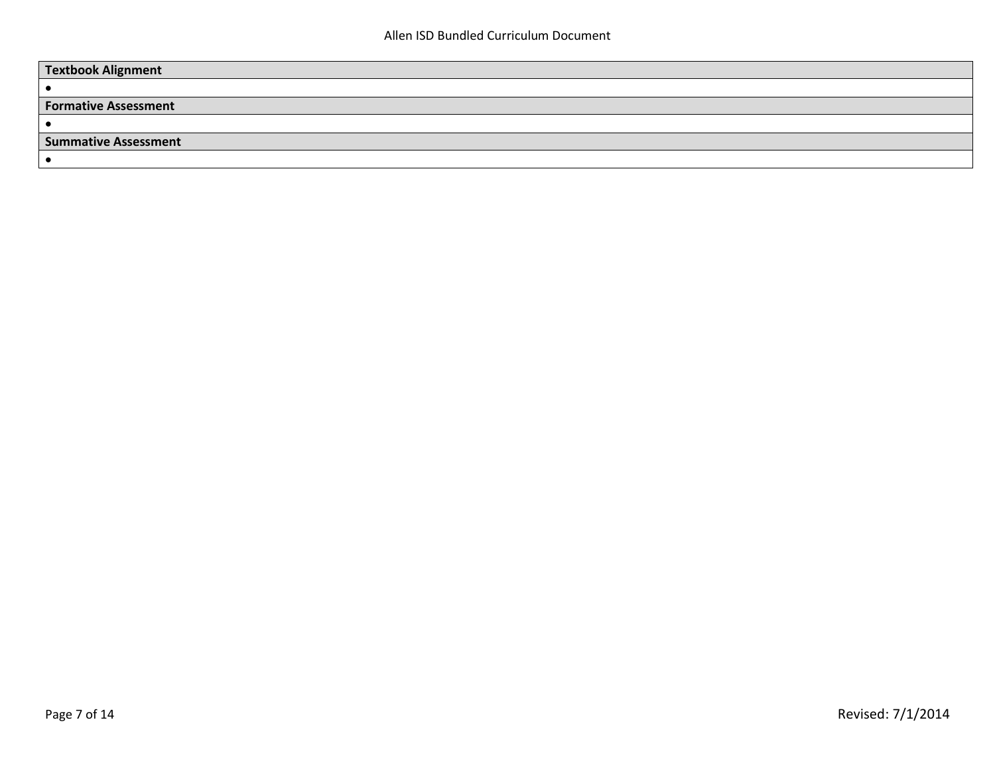| <b>Textbook Alignment</b>   |  |
|-----------------------------|--|
|                             |  |
| <b>Formative Assessment</b> |  |
|                             |  |
| <b>Summative Assessment</b> |  |
|                             |  |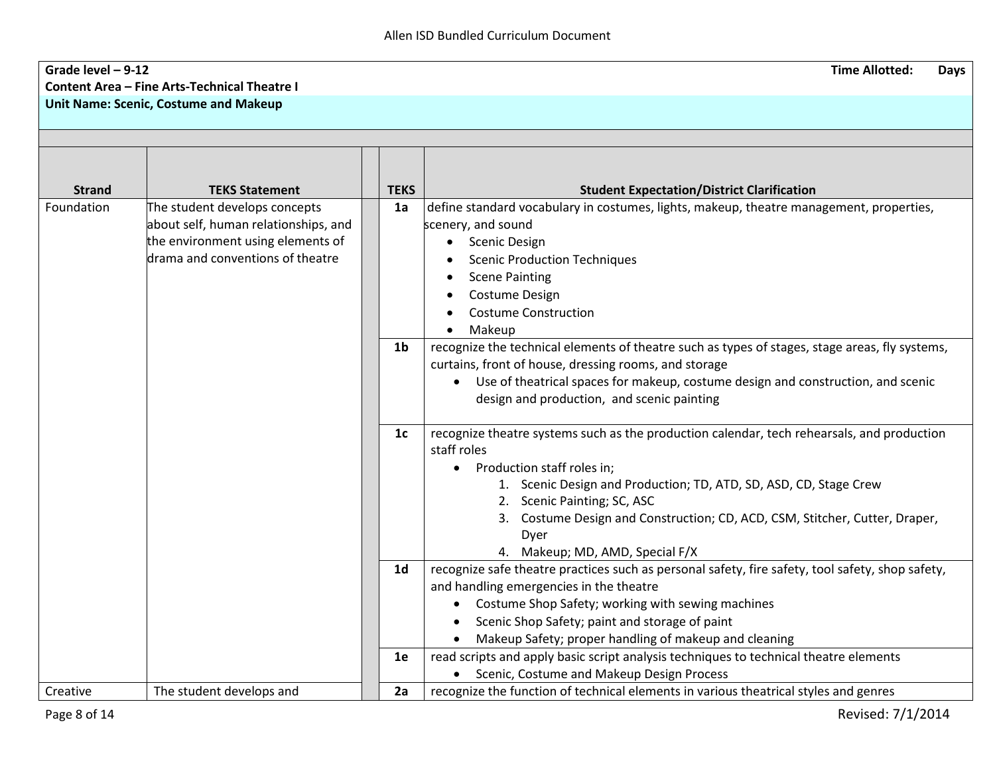## **Grade level – 9-12 Time Allotted: Days Content Area – Fine Arts-Technical Theatre I Unit Name: Scenic, Costume and Makeup**

| <b>Strand</b> | <b>TEKS Statement</b>                                                                                                                          | <b>TEKS</b>    | <b>Student Expectation/District Clarification</b>                                                                                                                                                                                                                                                                                                                                     |
|---------------|------------------------------------------------------------------------------------------------------------------------------------------------|----------------|---------------------------------------------------------------------------------------------------------------------------------------------------------------------------------------------------------------------------------------------------------------------------------------------------------------------------------------------------------------------------------------|
| Foundation    | The student develops concepts<br>about self, human relationships, and<br>the environment using elements of<br>drama and conventions of theatre | 1a             | define standard vocabulary in costumes, lights, makeup, theatre management, properties,<br>scenery, and sound<br><b>Scenic Design</b><br><b>Scenic Production Techniques</b><br><b>Scene Painting</b><br><b>Costume Design</b><br><b>Costume Construction</b><br>Makeup                                                                                                               |
|               |                                                                                                                                                | 1 <sub>b</sub> | recognize the technical elements of theatre such as types of stages, stage areas, fly systems,<br>curtains, front of house, dressing rooms, and storage<br>Use of theatrical spaces for makeup, costume design and construction, and scenic<br>$\bullet$<br>design and production, and scenic painting                                                                                |
|               |                                                                                                                                                | 1 <sub>c</sub> | recognize theatre systems such as the production calendar, tech rehearsals, and production<br>staff roles<br>Production staff roles in;<br>$\bullet$<br>1. Scenic Design and Production; TD, ATD, SD, ASD, CD, Stage Crew<br>2. Scenic Painting; SC, ASC<br>Costume Design and Construction; CD, ACD, CSM, Stitcher, Cutter, Draper,<br>3.<br>Dyer<br>4. Makeup; MD, AMD, Special F/X |
|               |                                                                                                                                                | 1 <sub>d</sub> | recognize safe theatre practices such as personal safety, fire safety, tool safety, shop safety,<br>and handling emergencies in the theatre<br>Costume Shop Safety; working with sewing machines<br>Scenic Shop Safety; paint and storage of paint<br>Makeup Safety; proper handling of makeup and cleaning                                                                           |
|               |                                                                                                                                                | 1e             | read scripts and apply basic script analysis techniques to technical theatre elements<br>Scenic, Costume and Makeup Design Process                                                                                                                                                                                                                                                    |
| Creative      | The student develops and                                                                                                                       | 2a             | recognize the function of technical elements in various theatrical styles and genres                                                                                                                                                                                                                                                                                                  |

Page 8 of 14 Revised:  $7/1/2014$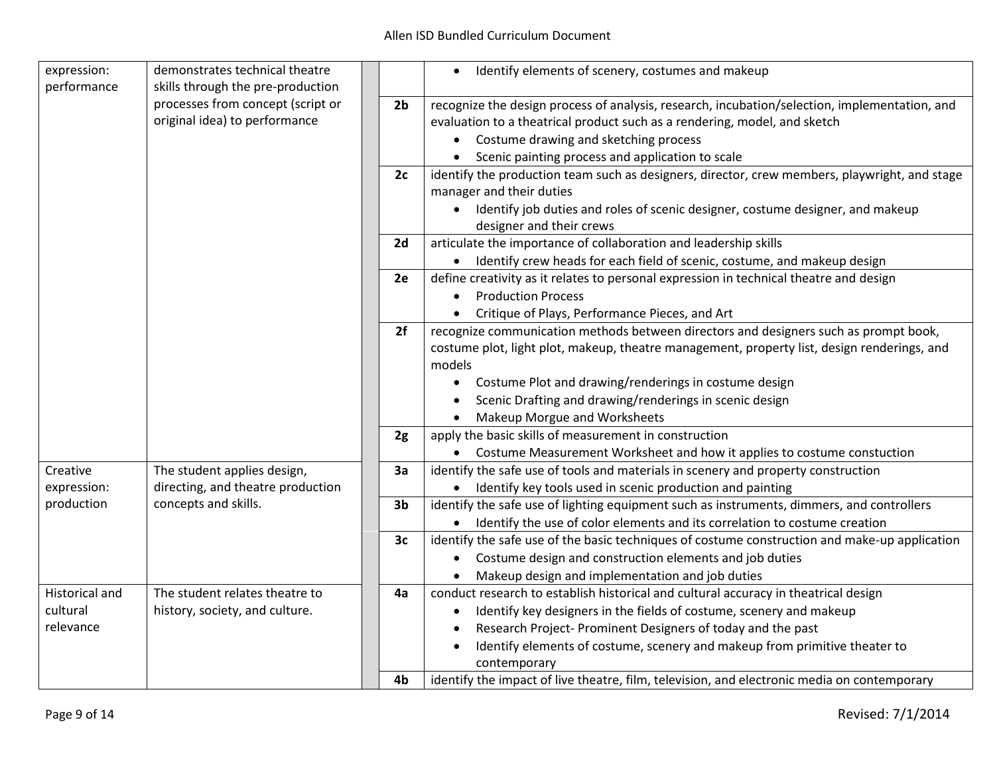| expression:<br>performance              | demonstrates technical theatre<br>skills through the pre-production |                | Identify elements of scenery, costumes and makeup<br>$\bullet$                                                                                                                                                                                                                                                                                                                                                                                   |
|-----------------------------------------|---------------------------------------------------------------------|----------------|--------------------------------------------------------------------------------------------------------------------------------------------------------------------------------------------------------------------------------------------------------------------------------------------------------------------------------------------------------------------------------------------------------------------------------------------------|
|                                         | processes from concept (script or<br>original idea) to performance  | 2 <sub>b</sub> | recognize the design process of analysis, research, incubation/selection, implementation, and<br>evaluation to a theatrical product such as a rendering, model, and sketch<br>• Costume drawing and sketching process<br>Scenic painting process and application to scale<br>$\bullet$                                                                                                                                                           |
|                                         |                                                                     | 2c             | identify the production team such as designers, director, crew members, playwright, and stage<br>manager and their duties<br>Identify job duties and roles of scenic designer, costume designer, and makeup<br>designer and their crews                                                                                                                                                                                                          |
|                                         |                                                                     | 2d             | articulate the importance of collaboration and leadership skills<br>Identify crew heads for each field of scenic, costume, and makeup design                                                                                                                                                                                                                                                                                                     |
|                                         |                                                                     | 2e             | define creativity as it relates to personal expression in technical theatre and design<br><b>Production Process</b><br>Critique of Plays, Performance Pieces, and Art                                                                                                                                                                                                                                                                            |
|                                         |                                                                     | 2f             | recognize communication methods between directors and designers such as prompt book,<br>costume plot, light plot, makeup, theatre management, property list, design renderings, and<br>models<br>Costume Plot and drawing/renderings in costume design<br>$\bullet$<br>Scenic Drafting and drawing/renderings in scenic design<br><b>Makeup Morgue and Worksheets</b>                                                                            |
|                                         |                                                                     | 2g             | apply the basic skills of measurement in construction<br>• Costume Measurement Worksheet and how it applies to costume constuction                                                                                                                                                                                                                                                                                                               |
| Creative<br>expression:                 | The student applies design,<br>directing, and theatre production    | 3a             | identify the safe use of tools and materials in scenery and property construction<br>• Identify key tools used in scenic production and painting                                                                                                                                                                                                                                                                                                 |
| production                              | concepts and skills.                                                | 3 <sub>b</sub> | identify the safe use of lighting equipment such as instruments, dimmers, and controllers<br>• Identify the use of color elements and its correlation to costume creation                                                                                                                                                                                                                                                                        |
|                                         |                                                                     | 3c             | identify the safe use of the basic techniques of costume construction and make-up application<br>Costume design and construction elements and job duties<br>Makeup design and implementation and job duties                                                                                                                                                                                                                                      |
| Historical and<br>cultural<br>relevance | The student relates theatre to<br>history, society, and culture.    | 4a<br>4b       | conduct research to establish historical and cultural accuracy in theatrical design<br>Identify key designers in the fields of costume, scenery and makeup<br>$\bullet$<br>Research Project- Prominent Designers of today and the past<br>Identify elements of costume, scenery and makeup from primitive theater to<br>$\bullet$<br>contemporary<br>identify the impact of live theatre, film, television, and electronic media on contemporary |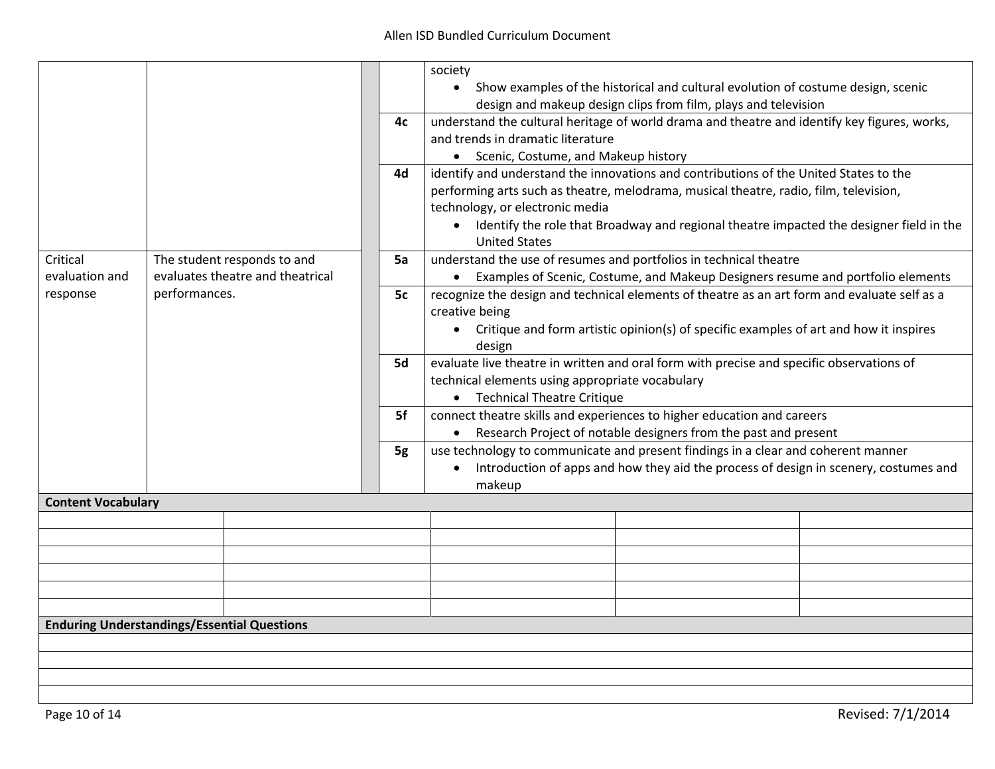|                                                    |               |                                  |    | society                                                                                      |                                                                                           |  |
|----------------------------------------------------|---------------|----------------------------------|----|----------------------------------------------------------------------------------------------|-------------------------------------------------------------------------------------------|--|
|                                                    |               |                                  |    |                                                                                              | • Show examples of the historical and cultural evolution of costume design, scenic        |  |
|                                                    |               |                                  |    |                                                                                              | design and makeup design clips from film, plays and television                            |  |
|                                                    |               |                                  |    |                                                                                              |                                                                                           |  |
|                                                    |               |                                  | 4с | understand the cultural heritage of world drama and theatre and identify key figures, works, |                                                                                           |  |
|                                                    |               |                                  |    | and trends in dramatic literature                                                            |                                                                                           |  |
|                                                    |               |                                  |    | • Scenic, Costume, and Makeup history                                                        |                                                                                           |  |
|                                                    |               |                                  | 4d | identify and understand the innovations and contributions of the United States to the        |                                                                                           |  |
|                                                    |               |                                  |    |                                                                                              | performing arts such as theatre, melodrama, musical theatre, radio, film, television,     |  |
|                                                    |               |                                  |    | technology, or electronic media                                                              |                                                                                           |  |
|                                                    |               |                                  |    |                                                                                              | • Identify the role that Broadway and regional theatre impacted the designer field in the |  |
|                                                    |               |                                  |    | <b>United States</b>                                                                         |                                                                                           |  |
| Critical                                           |               | The student responds to and      | 5a | understand the use of resumes and portfolios in technical theatre                            |                                                                                           |  |
| evaluation and                                     |               | evaluates theatre and theatrical |    |                                                                                              | • Examples of Scenic, Costume, and Makeup Designers resume and portfolio elements         |  |
| response                                           | performances. |                                  | 5c | recognize the design and technical elements of theatre as an art form and evaluate self as a |                                                                                           |  |
|                                                    |               |                                  |    | creative being                                                                               |                                                                                           |  |
|                                                    |               |                                  |    |                                                                                              | • Critique and form artistic opinion(s) of specific examples of art and how it inspires   |  |
|                                                    |               |                                  |    | design                                                                                       |                                                                                           |  |
|                                                    |               |                                  | 5d | evaluate live theatre in written and oral form with precise and specific observations of     |                                                                                           |  |
|                                                    |               |                                  |    | technical elements using appropriate vocabulary                                              |                                                                                           |  |
|                                                    |               |                                  |    | • Technical Theatre Critique                                                                 |                                                                                           |  |
|                                                    |               |                                  | 5f | connect theatre skills and experiences to higher education and careers                       |                                                                                           |  |
|                                                    |               |                                  |    |                                                                                              | • Research Project of notable designers from the past and present                         |  |
|                                                    |               |                                  | 5g | use technology to communicate and present findings in a clear and coherent manner            |                                                                                           |  |
|                                                    |               |                                  |    | $\bullet$                                                                                    | Introduction of apps and how they aid the process of design in scenery, costumes and      |  |
|                                                    |               |                                  |    | makeup                                                                                       |                                                                                           |  |
| <b>Content Vocabulary</b>                          |               |                                  |    |                                                                                              |                                                                                           |  |
|                                                    |               |                                  |    |                                                                                              |                                                                                           |  |
|                                                    |               |                                  |    |                                                                                              |                                                                                           |  |
|                                                    |               |                                  |    |                                                                                              |                                                                                           |  |
|                                                    |               |                                  |    |                                                                                              |                                                                                           |  |
|                                                    |               |                                  |    |                                                                                              |                                                                                           |  |
|                                                    |               |                                  |    |                                                                                              |                                                                                           |  |
| <b>Enduring Understandings/Essential Questions</b> |               |                                  |    |                                                                                              |                                                                                           |  |
|                                                    |               |                                  |    |                                                                                              |                                                                                           |  |
|                                                    |               |                                  |    |                                                                                              |                                                                                           |  |
|                                                    |               |                                  |    |                                                                                              |                                                                                           |  |
|                                                    |               |                                  |    |                                                                                              |                                                                                           |  |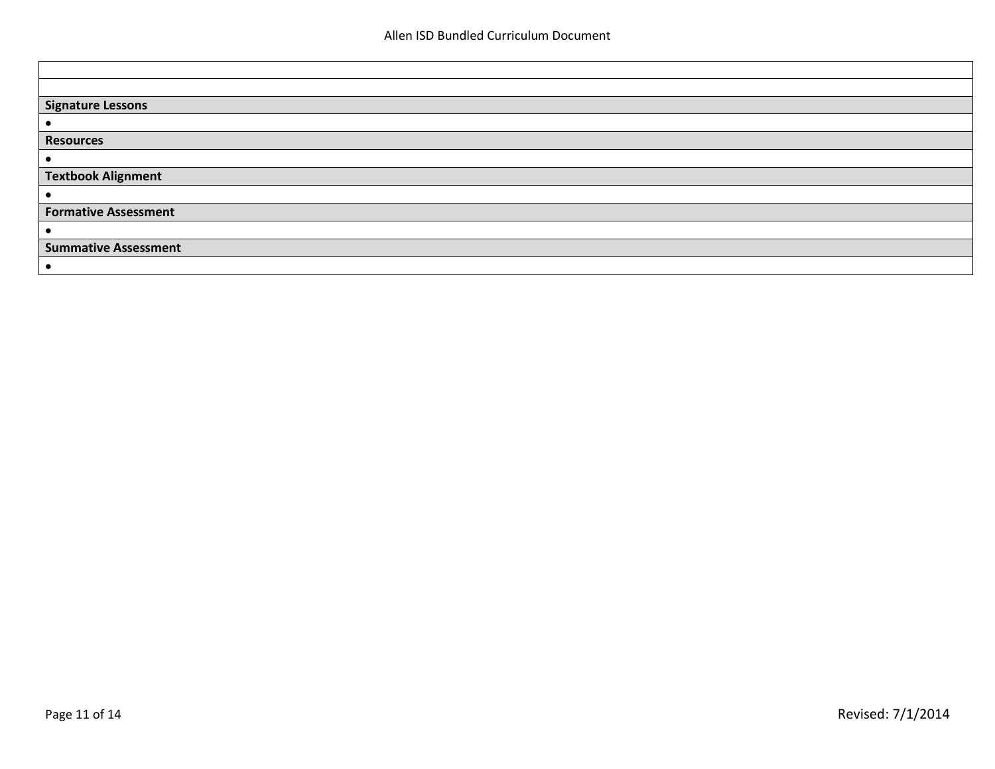| <b>Signature Lessons</b>    |
|-----------------------------|
|                             |
| <b>Resources</b>            |
|                             |
| <b>Textbook Alignment</b>   |
|                             |
| <b>Formative Assessment</b> |
|                             |
| <b>Summative Assessment</b> |
|                             |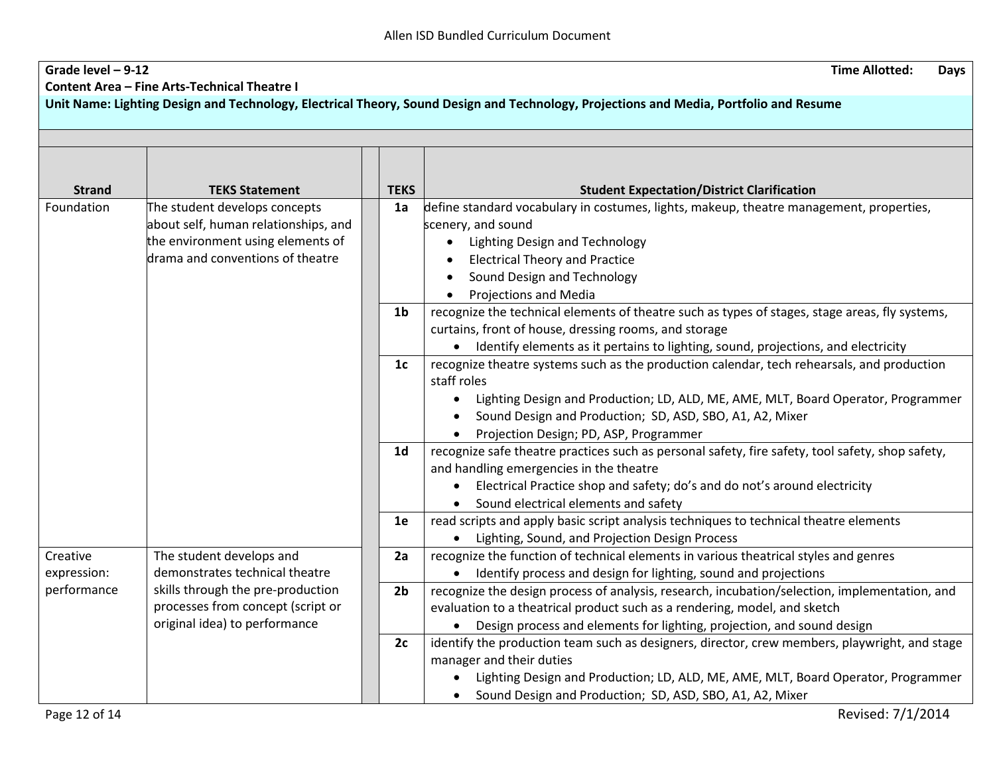| Grade level $-9-12$        |                                                                     |                | <b>Time Allotted:</b><br><b>Days</b>                                                                                                            |
|----------------------------|---------------------------------------------------------------------|----------------|-------------------------------------------------------------------------------------------------------------------------------------------------|
|                            | <b>Content Area - Fine Arts-Technical Theatre I</b>                 |                |                                                                                                                                                 |
|                            |                                                                     |                | Unit Name: Lighting Design and Technology, Electrical Theory, Sound Design and Technology, Projections and Media, Portfolio and Resume          |
|                            |                                                                     |                |                                                                                                                                                 |
|                            |                                                                     |                |                                                                                                                                                 |
|                            |                                                                     |                |                                                                                                                                                 |
|                            |                                                                     |                |                                                                                                                                                 |
| <b>Strand</b>              | <b>TEKS Statement</b>                                               | <b>TEKS</b>    | <b>Student Expectation/District Clarification</b>                                                                                               |
| Foundation                 | The student develops concepts                                       | 1a             | define standard vocabulary in costumes, lights, makeup, theatre management, properties,                                                         |
|                            | about self, human relationships, and                                |                | scenery, and sound                                                                                                                              |
|                            | the environment using elements of                                   |                | <b>Lighting Design and Technology</b>                                                                                                           |
|                            | drama and conventions of theatre                                    |                | <b>Electrical Theory and Practice</b>                                                                                                           |
|                            |                                                                     |                | Sound Design and Technology                                                                                                                     |
|                            |                                                                     |                | <b>Projections and Media</b>                                                                                                                    |
|                            |                                                                     | 1b             | recognize the technical elements of theatre such as types of stages, stage areas, fly systems,                                                  |
|                            |                                                                     |                | curtains, front of house, dressing rooms, and storage                                                                                           |
|                            |                                                                     |                | • Identify elements as it pertains to lighting, sound, projections, and electricity                                                             |
|                            |                                                                     | 1 <sub>c</sub> | recognize theatre systems such as the production calendar, tech rehearsals, and production                                                      |
|                            |                                                                     |                | staff roles                                                                                                                                     |
|                            |                                                                     |                | Lighting Design and Production; LD, ALD, ME, AME, MLT, Board Operator, Programmer<br>$\bullet$                                                  |
|                            |                                                                     |                | Sound Design and Production; SD, ASD, SBO, A1, A2, Mixer                                                                                        |
|                            |                                                                     |                | Projection Design; PD, ASP, Programmer                                                                                                          |
|                            |                                                                     | 1 <sub>d</sub> | recognize safe theatre practices such as personal safety, fire safety, tool safety, shop safety,                                                |
|                            |                                                                     |                | and handling emergencies in the theatre                                                                                                         |
|                            |                                                                     |                | Electrical Practice shop and safety; do's and do not's around electricity<br>$\bullet$                                                          |
|                            |                                                                     |                | • Sound electrical elements and safety                                                                                                          |
|                            |                                                                     | 1e             | read scripts and apply basic script analysis techniques to technical theatre elements                                                           |
|                            |                                                                     |                | • Lighting, Sound, and Projection Design Process                                                                                                |
| Creative                   | The student develops and                                            | 2a             | recognize the function of technical elements in various theatrical styles and genres                                                            |
| expression:<br>performance | demonstrates technical theatre<br>skills through the pre-production |                | • Identify process and design for lighting, sound and projections                                                                               |
|                            | processes from concept (script or                                   | 2 <sub>b</sub> | recognize the design process of analysis, research, incubation/selection, implementation, and                                                   |
|                            | original idea) to performance                                       |                | evaluation to a theatrical product such as a rendering, model, and sketch                                                                       |
|                            |                                                                     |                | Design process and elements for lighting, projection, and sound design                                                                          |
|                            |                                                                     | 2c             | identify the production team such as designers, director, crew members, playwright, and stage<br>manager and their duties                       |
|                            |                                                                     |                |                                                                                                                                                 |
|                            |                                                                     |                | Lighting Design and Production; LD, ALD, ME, AME, MLT, Board Operator, Programmer<br>• Sound Design and Production; SD, ASD, SBO, A1, A2, Mixer |
|                            |                                                                     |                |                                                                                                                                                 |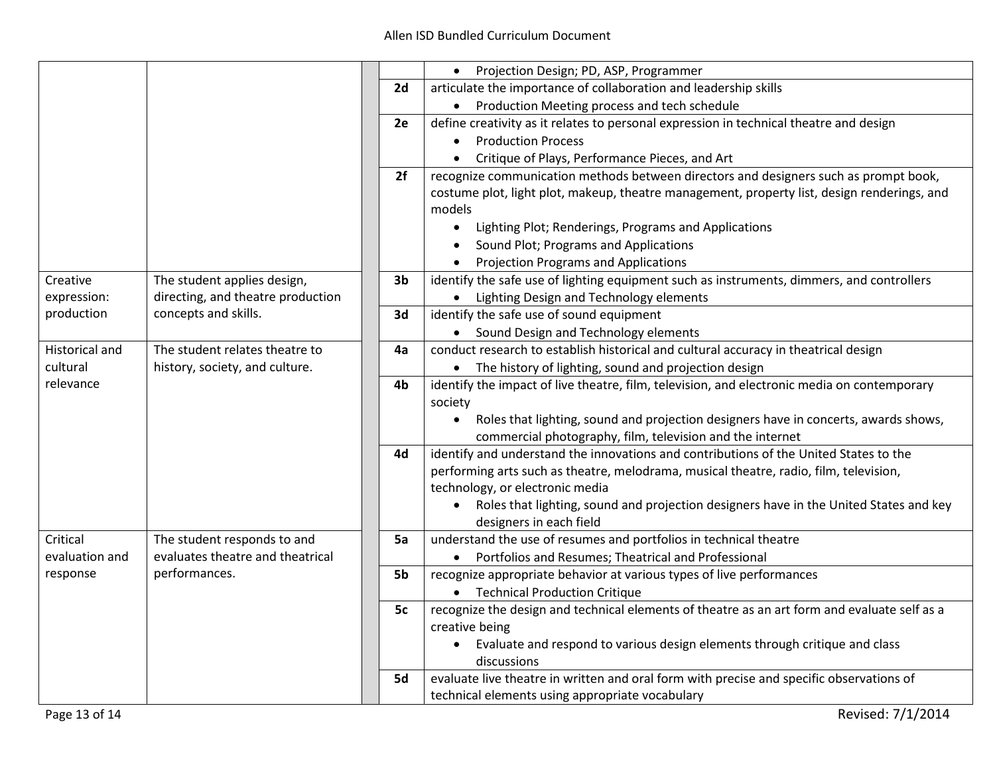|                       |                                   |                                                                                          | Projection Design; PD, ASP, Programmer                                                                                                                                                       |  |  |
|-----------------------|-----------------------------------|------------------------------------------------------------------------------------------|----------------------------------------------------------------------------------------------------------------------------------------------------------------------------------------------|--|--|
|                       |                                   | 2d                                                                                       | articulate the importance of collaboration and leadership skills                                                                                                                             |  |  |
|                       |                                   |                                                                                          | • Production Meeting process and tech schedule                                                                                                                                               |  |  |
|                       |                                   | 2e                                                                                       | define creativity as it relates to personal expression in technical theatre and design                                                                                                       |  |  |
|                       |                                   |                                                                                          | <b>Production Process</b>                                                                                                                                                                    |  |  |
|                       |                                   |                                                                                          | Critique of Plays, Performance Pieces, and Art<br>$\bullet$                                                                                                                                  |  |  |
|                       |                                   | 2f                                                                                       | recognize communication methods between directors and designers such as prompt book,                                                                                                         |  |  |
|                       |                                   |                                                                                          | costume plot, light plot, makeup, theatre management, property list, design renderings, and<br>models                                                                                        |  |  |
|                       |                                   |                                                                                          | Lighting Plot; Renderings, Programs and Applications<br>$\bullet$                                                                                                                            |  |  |
|                       |                                   |                                                                                          | Sound Plot; Programs and Applications<br>$\bullet$                                                                                                                                           |  |  |
|                       |                                   |                                                                                          | <b>Projection Programs and Applications</b>                                                                                                                                                  |  |  |
| Creative              | The student applies design,       | 3 <sub>b</sub>                                                                           | identify the safe use of lighting equipment such as instruments, dimmers, and controllers                                                                                                    |  |  |
| expression:           | directing, and theatre production |                                                                                          | • Lighting Design and Technology elements                                                                                                                                                    |  |  |
| production            | concepts and skills.              | 3d                                                                                       | identify the safe use of sound equipment                                                                                                                                                     |  |  |
|                       |                                   |                                                                                          | • Sound Design and Technology elements                                                                                                                                                       |  |  |
| <b>Historical and</b> | The student relates theatre to    | 4a                                                                                       | conduct research to establish historical and cultural accuracy in theatrical design                                                                                                          |  |  |
| cultural              | history, society, and culture.    |                                                                                          | The history of lighting, sound and projection design                                                                                                                                         |  |  |
| relevance             |                                   | 4b                                                                                       | identify the impact of live theatre, film, television, and electronic media on contemporary<br>society                                                                                       |  |  |
|                       |                                   |                                                                                          | Roles that lighting, sound and projection designers have in concerts, awards shows,<br>$\bullet$                                                                                             |  |  |
|                       |                                   |                                                                                          | commercial photography, film, television and the internet                                                                                                                                    |  |  |
|                       |                                   | 4d                                                                                       | identify and understand the innovations and contributions of the United States to the                                                                                                        |  |  |
|                       |                                   |                                                                                          | performing arts such as theatre, melodrama, musical theatre, radio, film, television,                                                                                                        |  |  |
|                       |                                   |                                                                                          | technology, or electronic media                                                                                                                                                              |  |  |
|                       |                                   |                                                                                          | Roles that lighting, sound and projection designers have in the United States and key<br>designers in each field                                                                             |  |  |
| Critical              | The student responds to and       | 5a                                                                                       | understand the use of resumes and portfolios in technical theatre                                                                                                                            |  |  |
| evaluation and        | evaluates theatre and theatrical  |                                                                                          | Portfolios and Resumes; Theatrical and Professional                                                                                                                                          |  |  |
| response              | performances.                     | 5b                                                                                       | recognize appropriate behavior at various types of live performances                                                                                                                         |  |  |
|                       |                                   |                                                                                          | <b>Technical Production Critique</b>                                                                                                                                                         |  |  |
|                       |                                   | 5c                                                                                       | recognize the design and technical elements of theatre as an art form and evaluate self as a<br>creative being<br>Evaluate and respond to various design elements through critique and class |  |  |
|                       |                                   |                                                                                          |                                                                                                                                                                                              |  |  |
|                       |                                   |                                                                                          |                                                                                                                                                                                              |  |  |
|                       |                                   |                                                                                          | discussions                                                                                                                                                                                  |  |  |
| 5d                    |                                   | evaluate live theatre in written and oral form with precise and specific observations of |                                                                                                                                                                                              |  |  |
|                       |                                   |                                                                                          | technical elements using appropriate vocabulary                                                                                                                                              |  |  |